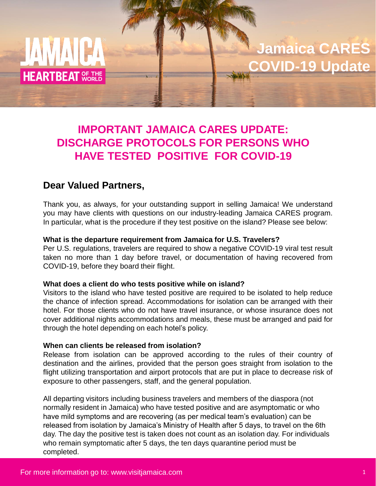

**Jamaica CARES COVID-19 Update**

# **IMPORTANT JAMAICA CARES UPDATE: DISCHARGE PROTOCOLS FOR PERSONS WHO HAVE TESTED POSITIVE FOR COVID-19**

# **Dear Valued Partners,**

Thank you, as always, for your outstanding support in selling Jamaica! We understand you may have clients with questions on our industry-leading Jamaica CARES program. In particular, what is the procedure if they test positive on the island? Please see below:

## **What is the departure requirement from Jamaica for U.S. Travelers?**

Per U.S. regulations, travelers are required to show a negative COVID-19 viral test result taken no more than 1 day before travel, or documentation of having recovered from COVID-19, before they board their flight.

#### **What does a client do who tests positive while on island?**

Visitors to the island who have tested positive are required to be isolated to help reduce the chance of infection spread. Accommodations for isolation can be arranged with their hotel. For those clients who do not have travel insurance, or whose insurance does not cover additional nights accommodations and meals, these must be arranged and paid for through the hotel depending on each hotel's policy.

#### **When can clients be released from isolation?**

Release from isolation can be approved according to the rules of their country of destination and the airlines, provided that the person goes straight from isolation to the flight utilizing transportation and airport protocols that are put in place to decrease risk of exposure to other passengers, staff, and the general population.

All departing visitors including business travelers and members of the diaspora (not normally resident in Jamaica) who have tested positive and are asymptomatic or who have mild symptoms and are recovering (as per medical team's evaluation) can be released from isolation by Jamaica's Ministry of Health after 5 days, to travel on the 6th day. The day the positive test is taken does not count as an isolation day. For individuals who remain symptomatic after 5 days, the ten days quarantine period must be completed.